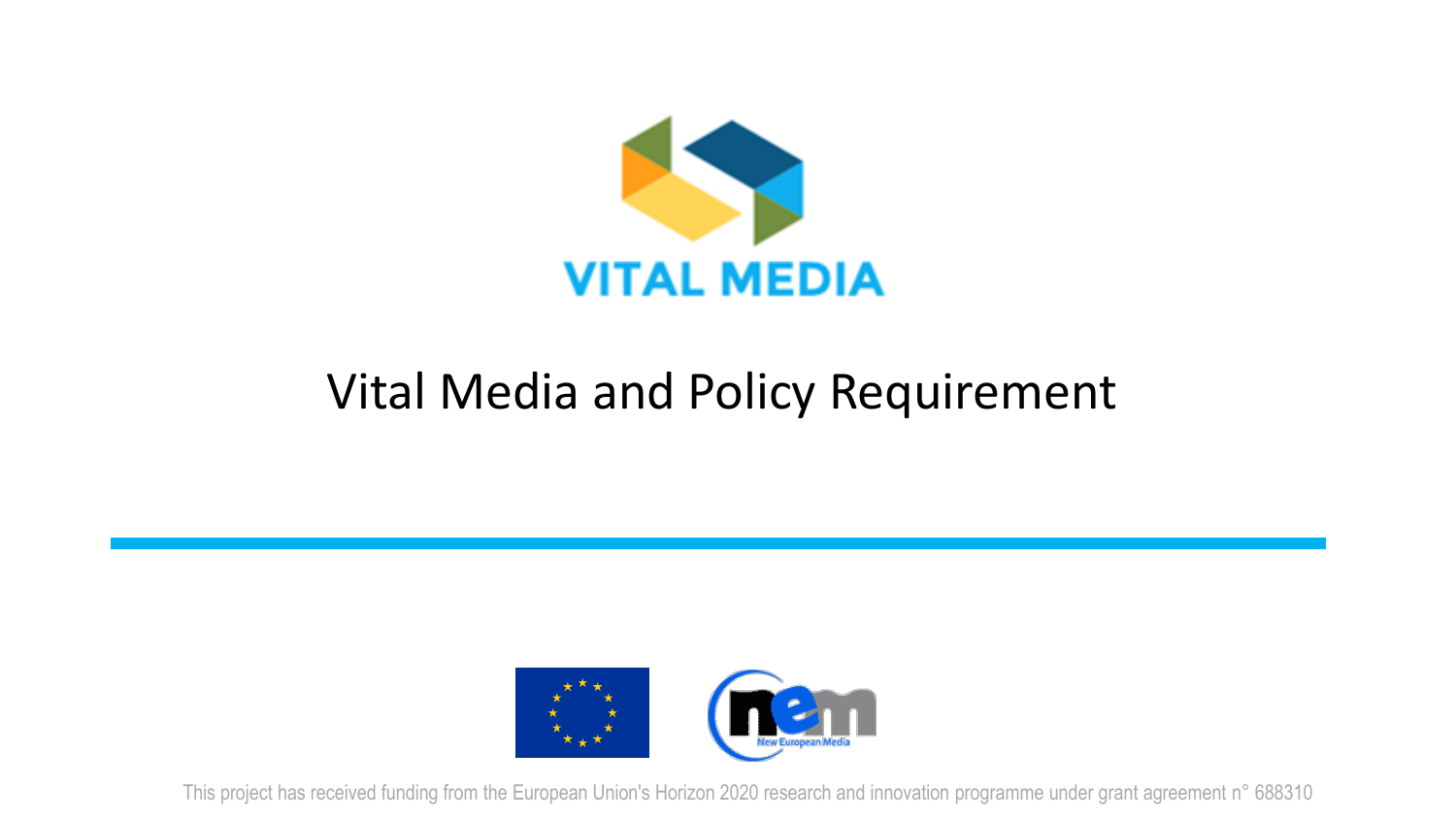

### Vital Media and Policy Requirement



This project has received funding from the European Union's Horizon 2020 research and innovation programme under grant agreement n° 688310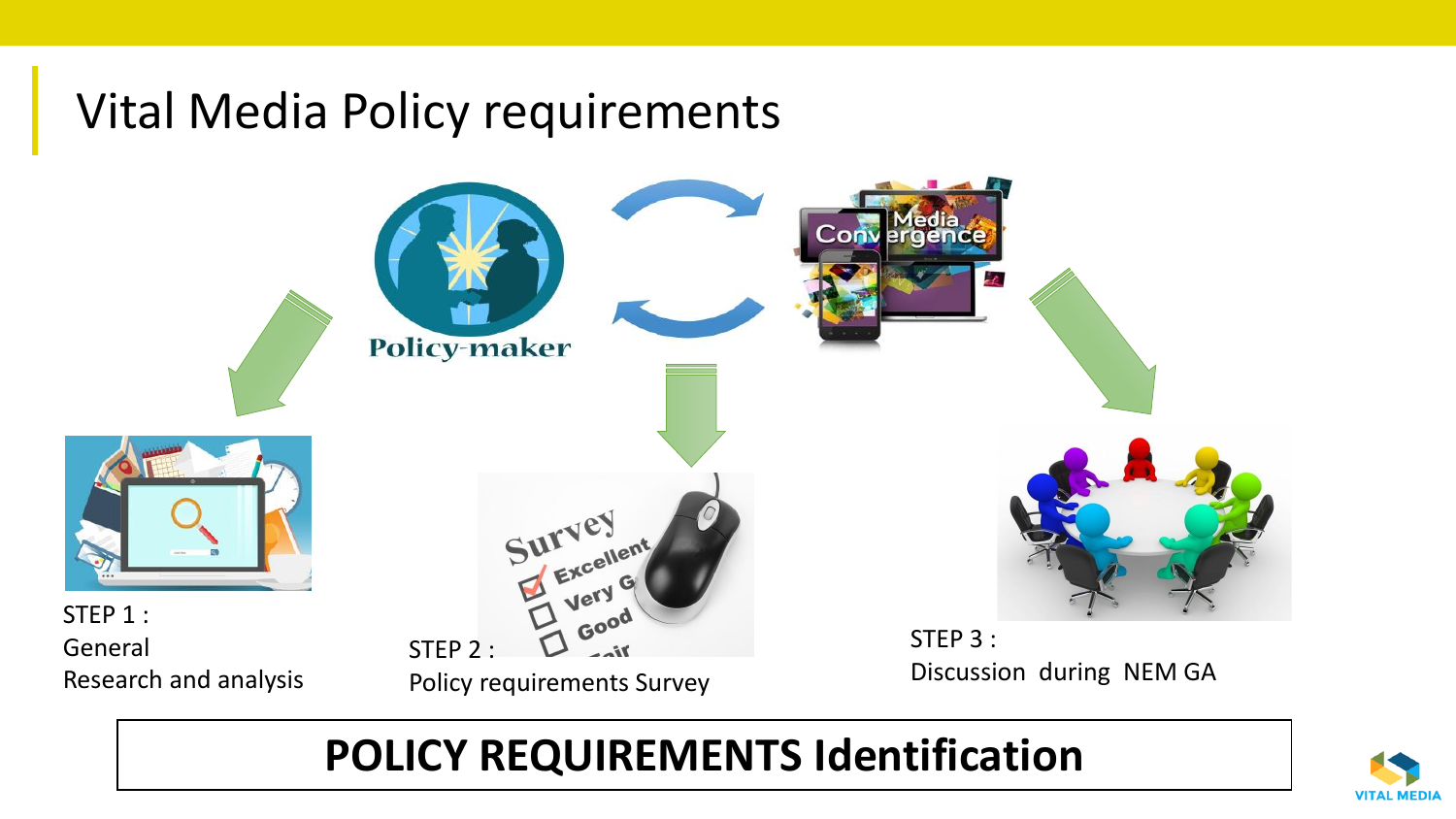### Vital Media Policy requirements



#### **POLICY REQUIREMENTS Identification**

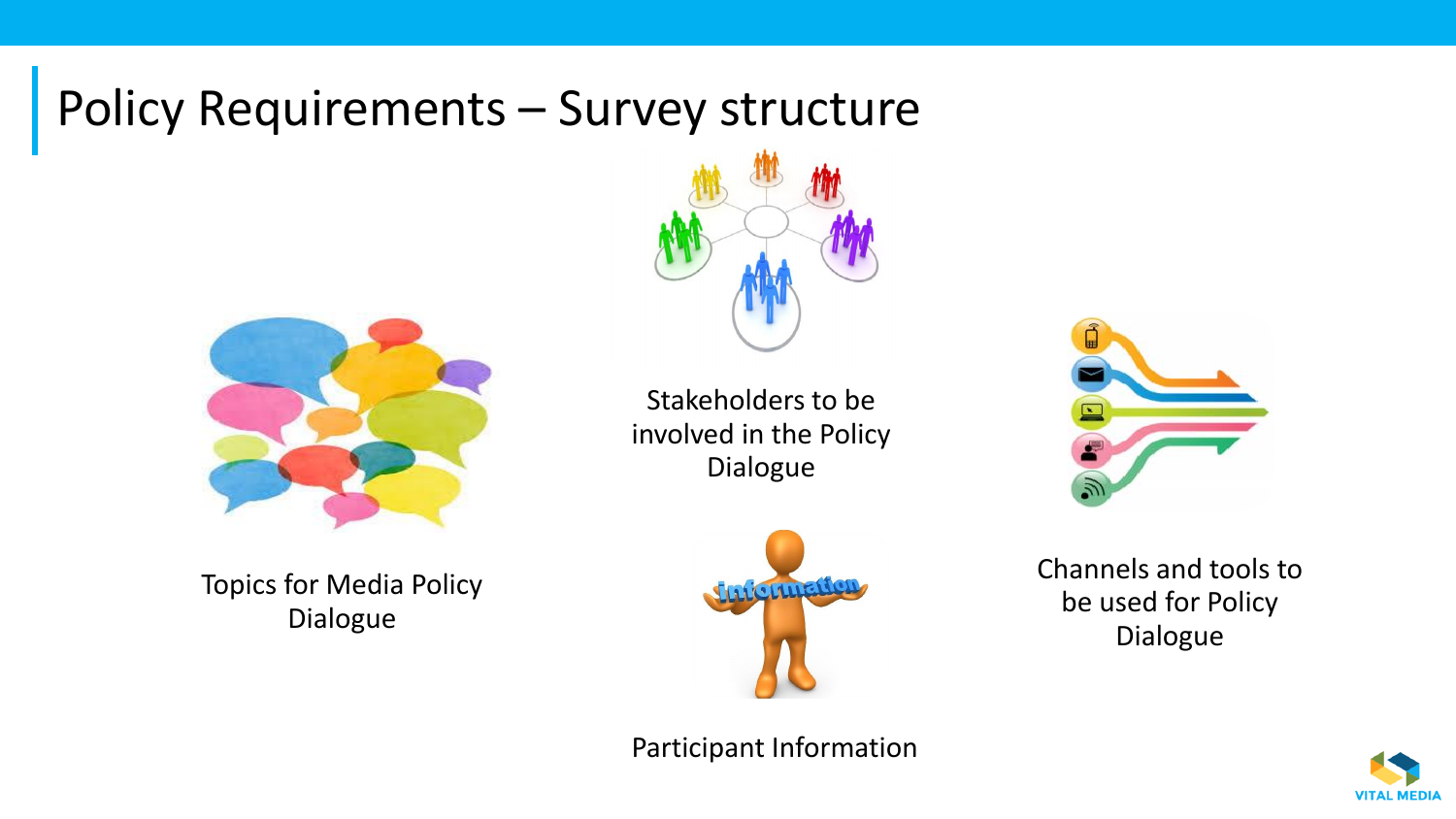### Policy Requirements – Survey structure



Topics for Media Policy Dialogue



Stakeholders to be involved in the Policy Dialogue



Channels and tools to be used for Policy Dialogue

**VITAL MEDIA** 

Participant Information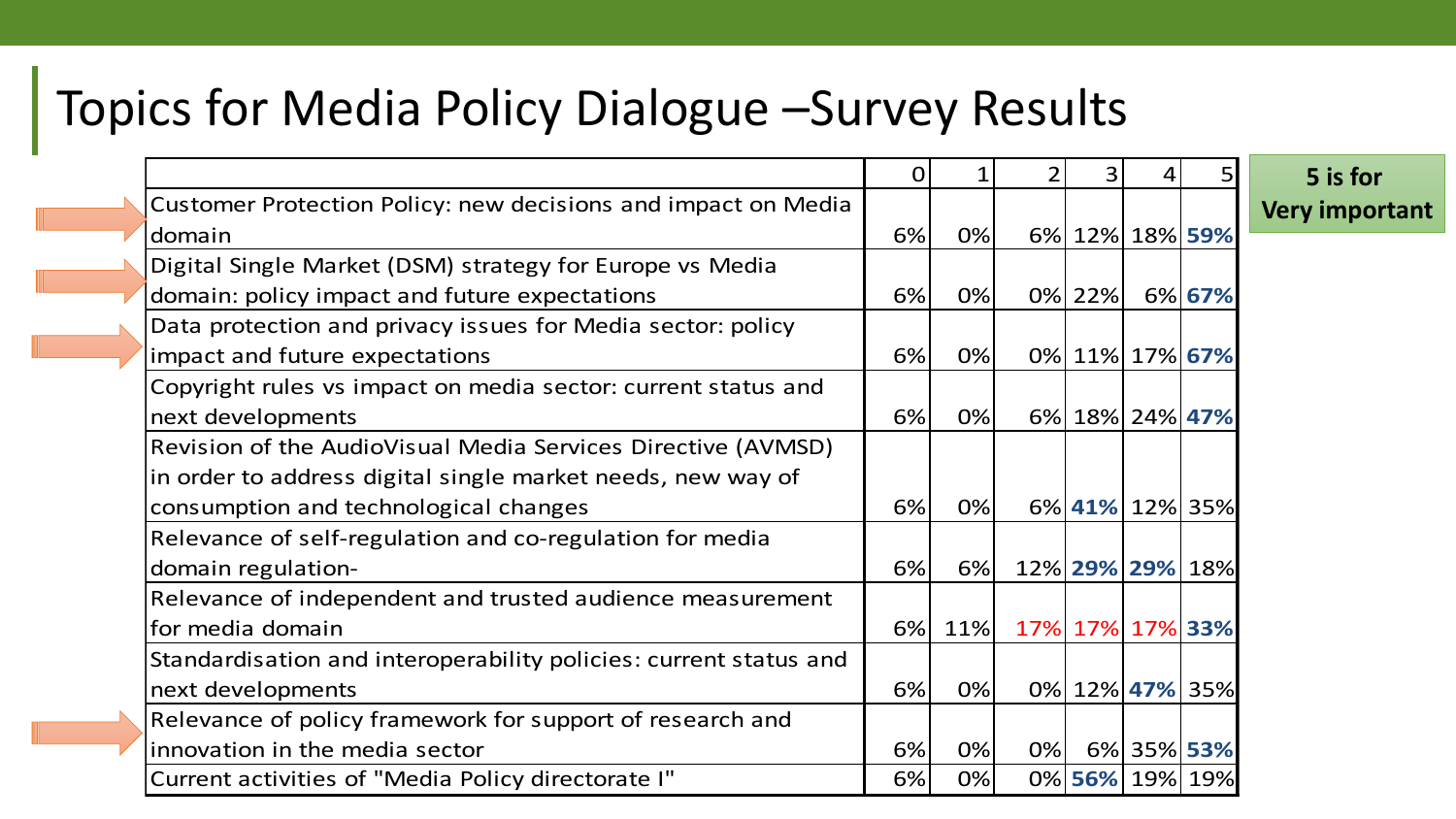### Topics for Media Policy Dialogue –Survey Results

|                                                                   | 0  |     |    | 3      | 4               |                 | 5 is for          |
|-------------------------------------------------------------------|----|-----|----|--------|-----------------|-----------------|-------------------|
| Customer Protection Policy: new decisions and impact on Media     |    |     |    |        |                 |                 | <b>Very impor</b> |
| domain                                                            | 6% | 0%  |    |        | 6% 12% 18% 59%  |                 |                   |
| Digital Single Market (DSM) strategy for Europe vs Media          |    |     |    |        |                 |                 |                   |
| domain: policy impact and future expectations                     | 6% | 0%  |    | 0% 22% |                 | 6% 67%          |                   |
| Data protection and privacy issues for Media sector: policy       |    |     |    |        |                 |                 |                   |
| impact and future expectations                                    | 6% | 0%  |    |        | 0% 11% 17% 67%  |                 |                   |
| Copyright rules vs impact on media sector: current status and     |    |     |    |        |                 |                 |                   |
| next developments                                                 | 6% | 0%  |    |        | 6% 18% 24% 47%  |                 |                   |
| Revision of the AudioVisual Media Services Directive (AVMSD)      |    |     |    |        |                 |                 |                   |
| in order to address digital single market needs, new way of       |    |     |    |        |                 |                 |                   |
| consumption and technological changes                             | 6% | 0%  |    |        |                 | 6% 41% 12% 35%  |                   |
| Relevance of self-regulation and co-regulation for media          |    |     |    |        |                 |                 |                   |
| domain regulation-                                                | 6% | 6%  |    |        |                 | 12% 29% 29% 18% |                   |
| Relevance of independent and trusted audience measurement         |    |     |    |        |                 |                 |                   |
| for media domain                                                  | 6% | 11% |    |        | 17% 17% 17% 33% |                 |                   |
| Standardisation and interoperability policies: current status and |    |     |    |        |                 |                 |                   |
| next developments                                                 | 6% | 0%  |    |        |                 | 0% 12% 47% 35%  |                   |
| Relevance of policy framework for support of research and         |    |     |    |        |                 |                 |                   |
| innovation in the media sector                                    | 6% | 0%  | 0% |        | 6% 35% 53%      |                 |                   |
| Current activities of "Media Policy directorate I"                | 6% | 0%  |    |        |                 | 0% 56% 19% 19%  |                   |

**rtant**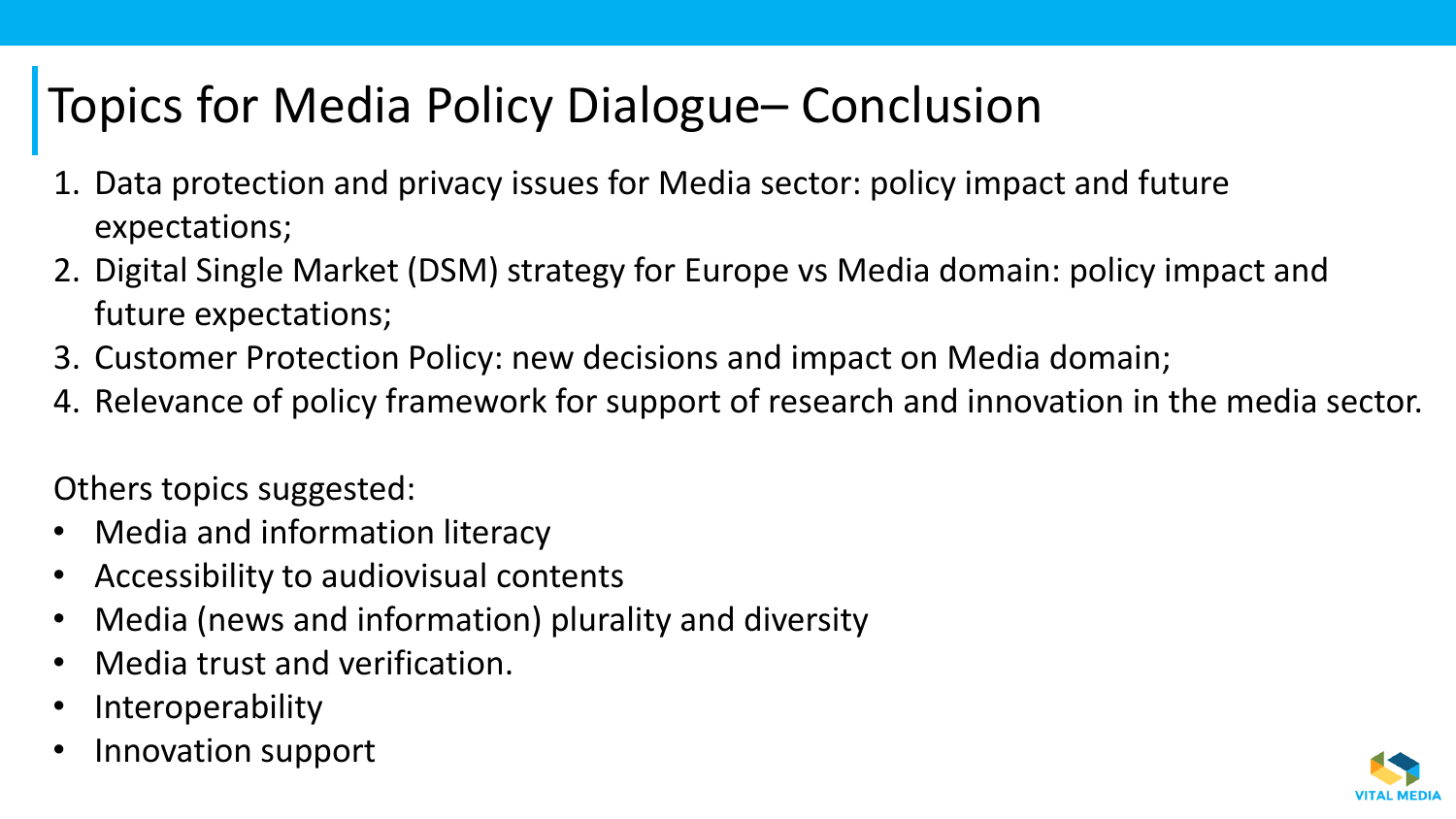## Topics for Media Policy Dialogue– Conclusion

- Data protection and privacy issues for Media sector: policy impact and future expectations;
- 2. Digital Single Market (DSM) strategy for Europe vs Media domain: policy impact and future expectations;
- 3. Customer Protection Policy: new decisions and impact on Media domain;
- 4. Relevance of policy framework for support of research and innovation in the media sector.

Others topics suggested:

- Media and information literacy
- Accessibility to audiovisual contents
- Media (news and information) plurality and diversity
- Media trust and verification.
- **Interoperability**
- Innovation support

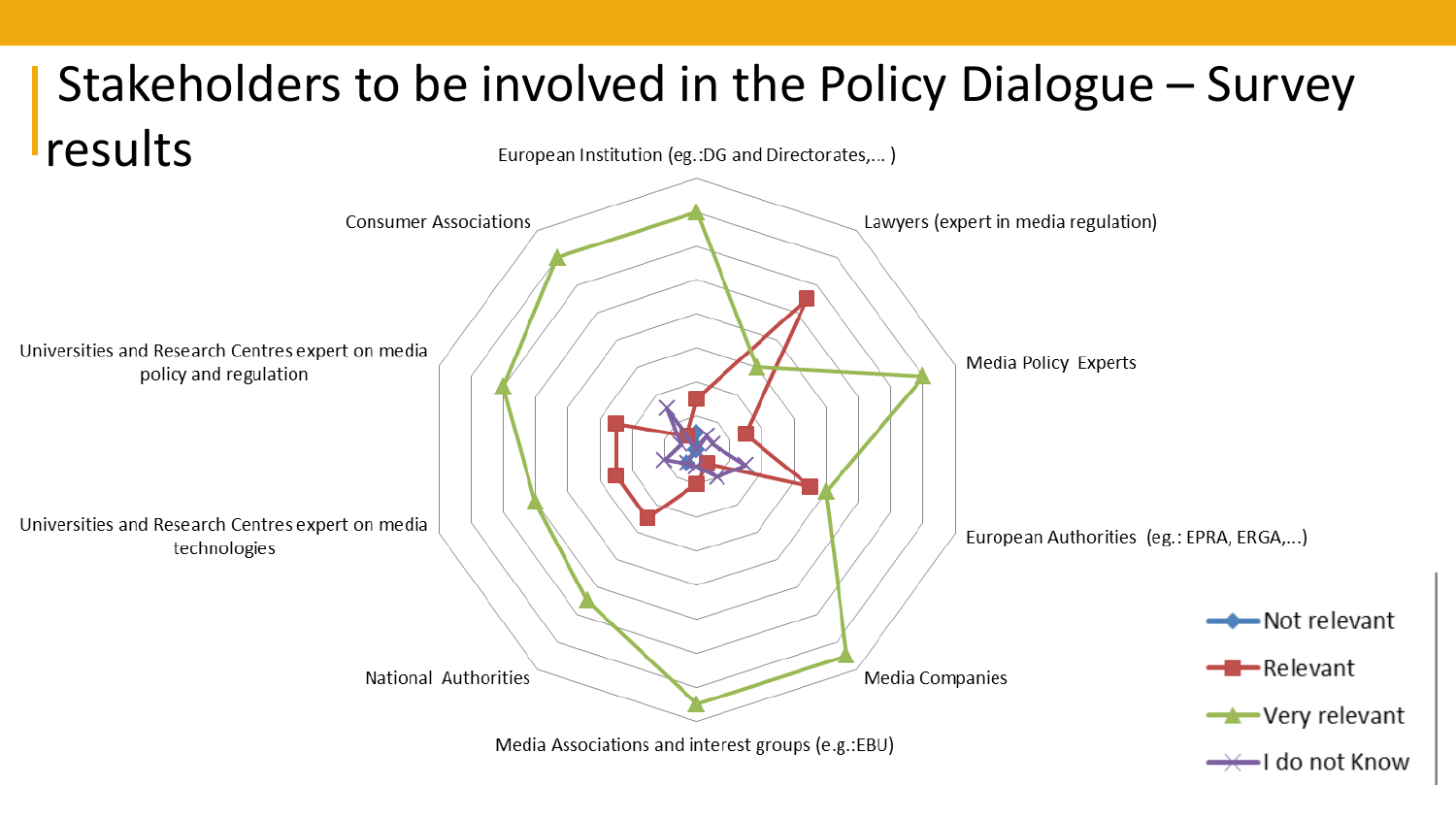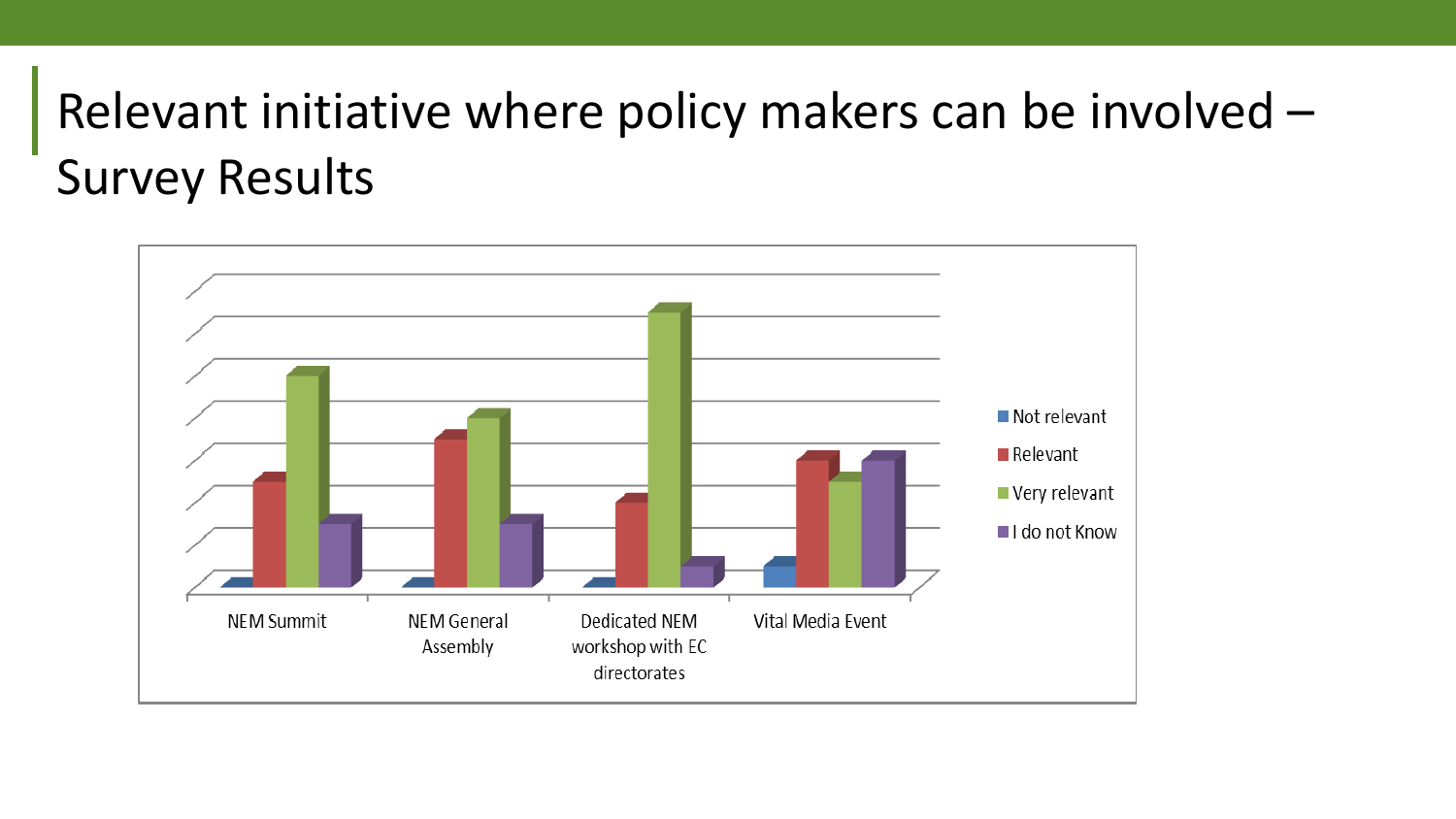## Relevant initiative where policy makers can be involved – Survey Results

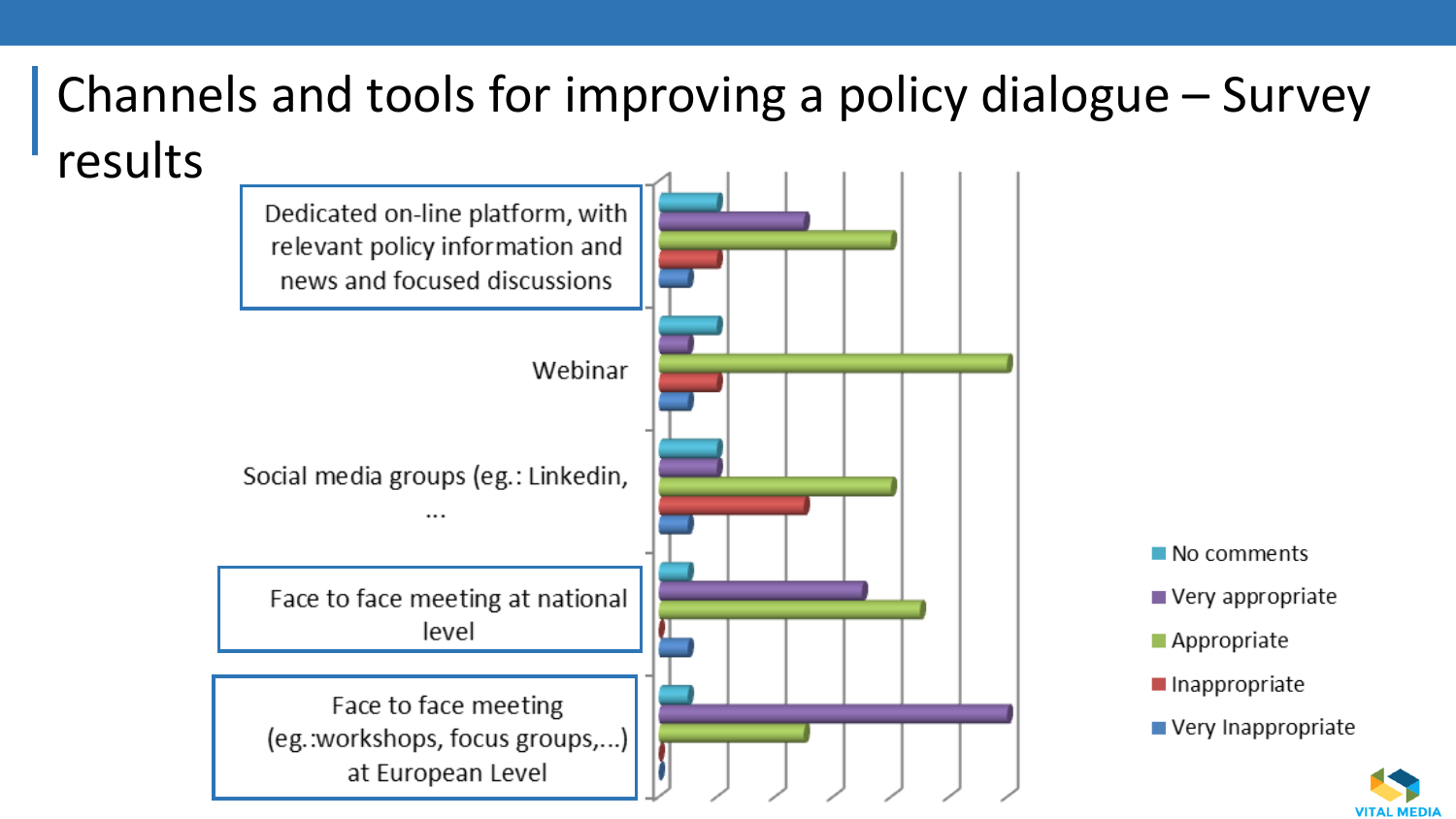### Channels and tools for improving a policy dialogue – Survey results





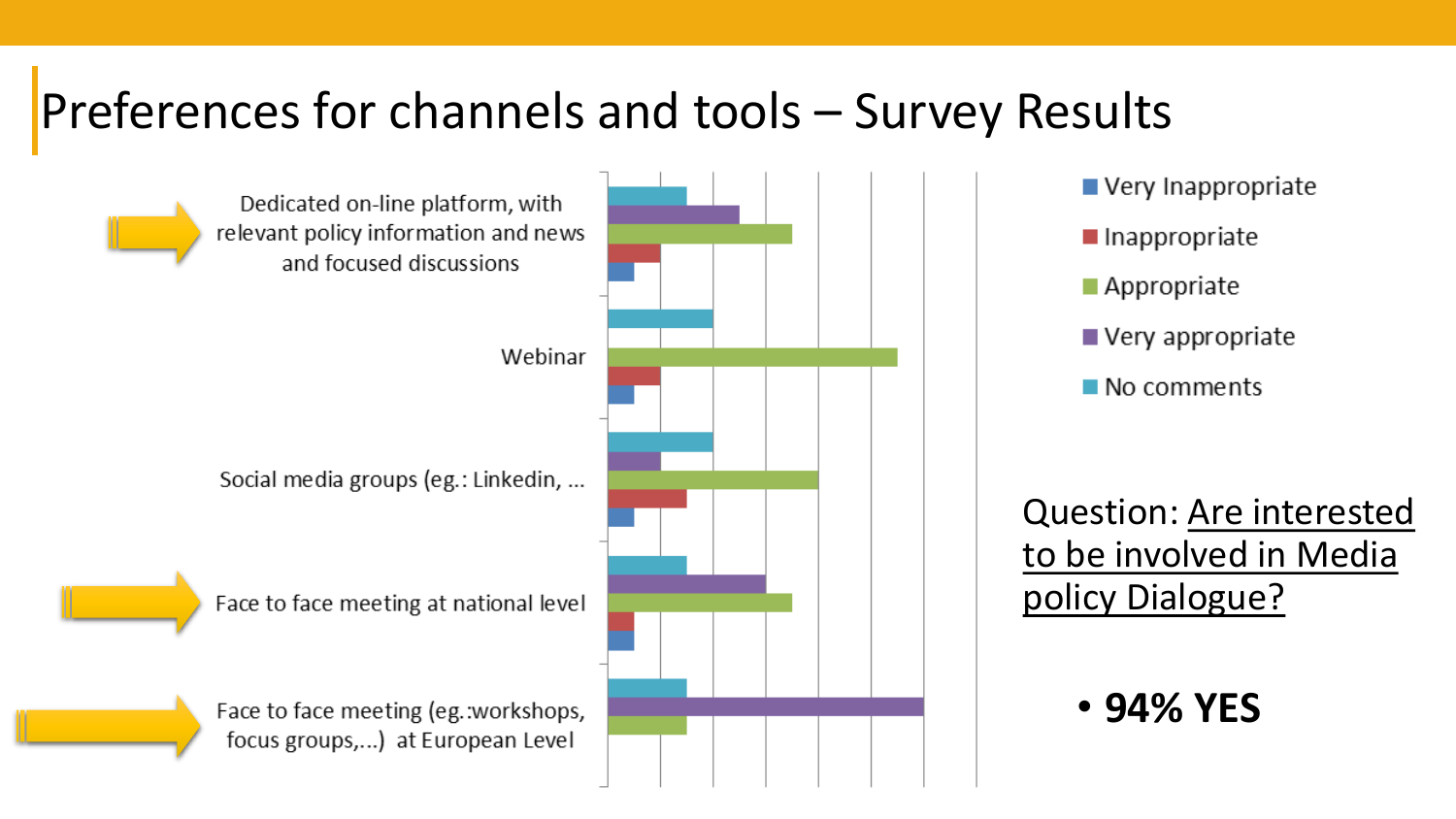### Preferences for channels and tools – Survey Results



- Very Inappropriate
- $\blacksquare$  Inappropriate
- Appropriate
- $\blacksquare$  Very appropriate
- $\blacksquare$  No comments

Question: Are interested to be involved in Media policy Dialogue?

#### • **94% YES**